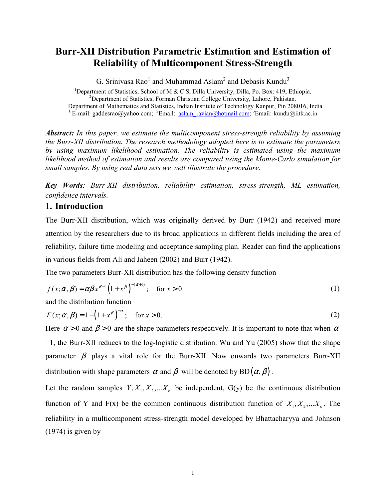# **Burr-XII Distribution Parametric Estimation and Estimation of Reliability of Multicomponent Stress-Strength**

G. Srinivasa Rao<sup>1</sup> and Muhammad Aslam<sup>2</sup> and Debasis Kundu<sup>3</sup>

<sup>1</sup>Department of Statistics, School of M & C S, Dilla University, Dilla, Po. Box: 419, Ethiopia. <sup>2</sup>Department of Statistics, Forman Christian College University, Lahore, Pakistan. Department of Mathematics and Statistics, Indian Institute of Technology Kanpur, Pin 208016, India <sup>1</sup> E-mail: gaddesrao@yahoo.com; <sup>2</sup>Email: <u>aslam\_ravian@hotmail.com</u>; <sup>3</sup>Email: kundu@iitk.ac.in

*Abstract: In this paper, we estimate the multicomponent stress-strength reliability by assuming the Burr-XII distribution. The research methodology adopted here is to estimate the parameters by using maximum likelihood estimation. The reliability is estimated using the maximum likelihood method of estimation and results are compared using the Monte-Carlo simulation for small samples. By using real data sets we well illustrate the procedure.* 

*Key Words: Burr-XII distribution, reliability estimation, stress-strength, ML estimation, confidence intervals.*

## **1. Introduction**

The Burr-XII distribution, which was originally derived by Burr (1942) and received more attention by the researchers due to its broad applications in different fields including the area of reliability, failure time modeling and acceptance sampling plan. Reader can find the applications in various fields from Ali and Jaheen (2002) and Burr (1942).

The two parameters Burr-XII distribution has the following density function

$$
f(x; \alpha, \beta) = \alpha \beta x^{\beta - 1} \left( 1 + x^{\beta} \right)^{-(\alpha + 1)}; \quad \text{for } x > 0
$$
 (1)

and the distribution function

$$
F(x; \alpha, \beta) = 1 - \left(1 + x^{\beta}\right)^{-\alpha}; \quad \text{for } x > 0.
$$
 (2)

Here  $\alpha > 0$  and  $\beta > 0$  are the shape parameters respectively. It is important to note that when  $\alpha$ =1, the Burr-XII reduces to the log-logistic distribution. Wu and Yu (2005) show that the shape parameter  $\beta$  plays a vital role for the Burr-XII. Now onwards two parameters Burr-XII distribution with shape parameters  $\alpha$  and  $\beta$  will be denoted by BD( $\alpha$ ,  $\beta$ ).

Let the random samples  $Y, X_1, X_2, \ldots, X_k$  be independent, G(y) be the continuous distribution function of Y and F(x) be the common continuous distribution function of  $X_1, X_2, \ldots, X_k$ . The reliability in a multicomponent stress-strength model developed by Bhattacharyya and Johnson (1974) is given by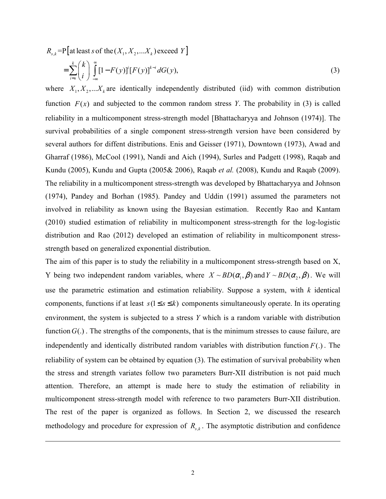$R_{s,k}$  =P [at least s of the  $(X_1, X_2, ... X_k)$  exceed Y]

 $\overline{a}$ 

$$
=\sum_{i=s}^{k} {k \choose i} \int_{-\infty}^{\infty} [1-F(y)]^{i} [F(y)]^{k-i} dG(y), \qquad (3)
$$

where  $X_1, X_2, \ldots, X_k$  are identically independently distributed (iid) with common distribution function  $F(x)$  and subjected to the common random stress *Y*. The probability in (3) is called reliability in a multicomponent stress-strength model [Bhattacharyya and Johnson (1974)]. The survival probabilities of a single component stress-strength version have been considered by several authors for diffent distributions. Enis and Geisser (1971), Downtown (1973), Awad and Gharraf (1986), McCool (1991), Nandi and Aich (1994), Surles and Padgett (1998), Raqab and Kundu (2005), Kundu and Gupta (2005& 2006), Raqab *et al.* (2008), Kundu and Raqab (2009). The reliability in a multicomponent stress-strength was developed by Bhattacharyya and Johnson (1974), Pandey and Borhan (1985). Pandey and Uddin (1991) assumed the parameters not involved in reliability as known using the Bayesian estimation. Recently Rao and Kantam (2010) studied estimation of reliability in multicomponent stress-strength for the log-logistic distribution and Rao (2012) developed an estimation of reliability in multicomponent stressstrength based on generalized exponential distribution.

The aim of this paper is to study the reliability in a multicomponent stress-strength based on X, Y being two independent random variables, where  $X \sim BD(\alpha_1, \beta)$  and  $Y \sim BD(\alpha_2, \beta)$ . We will use the parametric estimation and estimation reliability. Suppose a system, with *k* identical components, functions if at least  $s(1 \le s \le k)$  components simultaneously operate. In its operating environment, the system is subjected to a stress *Y* which is a random variable with distribution function  $G(.)$ . The strengths of the components, that is the minimum stresses to cause failure, are independently and identically distributed random variables with distribution function  $F(.)$ . The reliability of system can be obtained by equation (3). The estimation of survival probability when the stress and strength variates follow two parameters Burr-XII distribution is not paid much attention. Therefore, an attempt is made here to study the estimation of reliability in multicomponent stress-strength model with reference to two parameters Burr-XII distribution. The rest of the paper is organized as follows. In Section 2, we discussed the research methodology and procedure for expression of  $R_{s,k}$ . The asymptotic distribution and confidence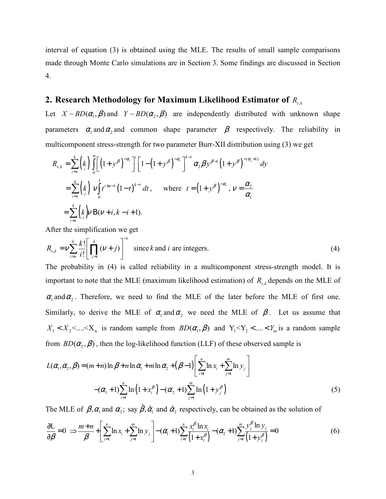interval of equation (3) is obtained using the MLE. The results of small sample comparisons made through Monte Carlo simulations are in Section 3. Some findings are discussed in Section 4.

# 2. Research Methodology for Maximum Likelihood Estimator of  $R_{s,k}$

Let  $X \sim BD(\alpha_1, \beta)$  and  $Y \sim BD(\alpha_2, \beta)$  are independently distributed with unknown shape parameters  $\alpha_1$  and  $\alpha_2$  and common shape parameter  $\beta$  respectively. The reliability in multicomponent stress-strength for two parameter Burr-XII distribution using (3) we get

$$
R_{s,k} = \sum_{i=s}^{k} {k \choose i} \int_{0}^{\infty} \left[ \left(1+y^{\beta}\right)^{-\alpha_{i}} \right]^{i} \left[1-\left(1+y^{\beta}\right)^{-\alpha_{i}} \right]^{k-i} \alpha_{2} \beta y^{\beta-1} \left(1+y^{\beta}\right)^{-(\alpha_{2}+1)} dy
$$
  
\n
$$
= \sum_{i=s}^{k} {k \choose i} \nu \int_{0}^{1} t^{i+\nu-1} (1-t)^{k-i} dt, \quad \text{where} \quad t = \left(1+y^{\beta}\right)^{-\alpha_{i}}, \quad \nu = \frac{\alpha_{2}}{\alpha_{1}}
$$
  
\n
$$
= \sum_{i=s}^{k} {k \choose i} \nu B(\nu+i, k-i+1).
$$

After the simplification we get

$$
R_{s,k} = \nu \sum_{i=s}^{k} \frac{k!}{i!} \left[ \prod_{j=i}^{k} (\nu + j) \right]^{-1}
$$
 since *k* and *i* are integers. (4)

The probability in (4) is called reliability in a multicomponent stress-strength model. It is important to note that the MLE (maximum likelihood estimation) of  $R_{s,k}$  depends on the MLE of  $\alpha_1$  and  $\alpha_2$ . Therefore, we need to find the MLE of the later before the MLE of first one. Similarly, to derive the MLE of  $\alpha_1$  and  $\alpha_2$  we need the MLE of  $\beta$ . Let us assume that  $X_1 < X_2 < ... < X_n$  is random sample from  $BD(\alpha_1, \beta)$  and  $Y_1 < Y_2 < ... < Y_m$  is a random sample from  $BD(\alpha, \beta)$ , then the log-likelihood function (LLF) of these observed sample is

$$
L(\alpha_1, \alpha_2, \beta) = (m+n)\ln \beta + n\ln \alpha_1 + m\ln \alpha_2 + (\beta - 1) \left[ \sum_{i=1}^n \ln x_i + \sum_{j=1}^m \ln y_j \right]
$$
  
 
$$
-(\alpha_1 + 1) \sum_{i=1}^n \ln (1 + x_i^{\beta}) - (\alpha_2 + 1) \sum_{j=1}^m \ln (1 + y_j^{\beta})
$$
 (5)

The MLE of  $\beta, \alpha_1$  and  $\alpha_2$ ; say  $\hat{\beta}, \hat{\alpha}_1$  and  $\hat{\alpha}_2$  respectively, can be obtained as the solution of

$$
\frac{\partial L}{\partial \beta} = 0 \implies \frac{m+n}{\beta} + \left[ \sum_{i=1}^{n} \ln x_i + \sum_{j=1}^{m} \ln y_j \right] - (\alpha_1 + 1) \sum_{i=1}^{n} \frac{x_i^{\beta} \ln x_i}{(1 + x_i^{\beta})} - (\alpha_2 + 1) \sum_{j=1}^{m} \frac{y_j^{\beta} \ln y_j}{(1 + y_j^{\beta})} = 0 \tag{6}
$$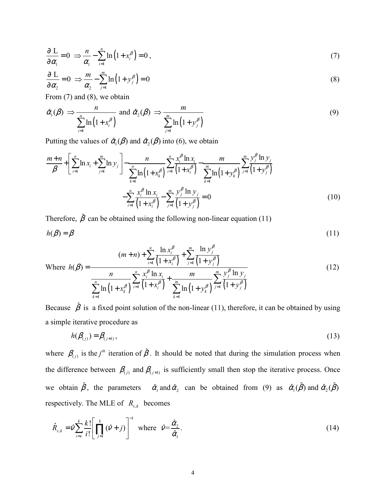$$
\frac{\partial L}{\partial \alpha_1} = 0 \implies \frac{n}{\alpha_1} - \sum_{i=1}^n \ln(1 + x_i^{\beta}) = 0,
$$
\n(7)

$$
\frac{\partial L}{\partial \alpha_2} = 0 \implies \frac{m}{\alpha_2} - \sum_{j=1}^{m} \ln(1 + y_j^{\beta}) = 0 \tag{8}
$$

From (7) and (8), we obtain

$$
\hat{\alpha}_1(\beta) \Rightarrow \frac{n}{\sum_{i=1}^n \ln(1+x_i^{\beta})} \text{ and } \hat{\alpha}_2(\beta) \Rightarrow \frac{m}{\sum_{j=1}^m \ln(1+y_j^{\beta})}
$$
\n(9)

Putting the values of  $\hat{\alpha}_1(\beta)$  and  $\hat{\alpha}_2(\beta)$  into (6), we obtain

$$
\frac{m+n}{\beta} + \left[ \sum_{i=1}^{n} \ln x_i + \sum_{j=1}^{m} \ln y_j \right] - \frac{n}{\sum_{k=1}^{n} \ln \left( 1 + x_k^{\beta} \right)} \sum_{i=1}^{n} \frac{x_i^{\beta} \ln x_i}{\left( 1 + x_i^{\beta} \right)} - \frac{m}{\sum_{k=1}^{m} \ln \left( 1 + y_k^{\beta} \right)} \sum_{j=1}^{m} \frac{y_j^{\beta} \ln y_j}{\left( 1 + y_j^{\beta} \right)}
$$

$$
- \sum_{i=1}^{n} \frac{x_i^{\beta} \ln x_i}{\left( 1 + x_i^{\beta} \right)} - \sum_{j=1}^{m} \frac{y_j^{\beta} \ln y_j}{\left( 1 + y_j^{\beta} \right)} = 0 \tag{10}
$$

Therefore,  $\hat{\beta}$  can be obtained using the following non-linear equation (11)  $h(\beta) = \beta$  (11)

$$
\text{Where } h(\beta) = \frac{(m+n) + \sum_{i=1}^{n} \frac{\ln x_i^{\beta}}{(1+x_i^{\beta})} + \sum_{j=1}^{m} \frac{\ln y_j^{\beta}}{(1+y_j^{\beta})}}{\sum_{k=1}^{n} \ln (1+x_k^{\beta})} \sum_{i=1}^{n} \frac{x_i^{\beta} \ln x_i}{(1+x_i^{\beta})} + \frac{m}{\sum_{k=1}^{m} \ln (1+y_k^{\beta})} \sum_{j=1}^{m} \frac{y_j^{\beta} \ln y_j}{(1+y_j^{\beta})}
$$
(12)

Because  $\hat{\beta}$  is a fixed point solution of the non-linear (11), therefore, it can be obtained by using a simple iterative procedure as

$$
h(\beta_{(j)}) = \beta_{(j+1)},\tag{13}
$$

where  $\beta_{(j)}$  is the *j*<sup>th</sup> iteration of  $\hat{\beta}$ . It should be noted that during the simulation process when the difference between  $\beta_{(j)}$  and  $\beta_{(j+1)}$  is sufficiently small then stop the iterative process. Once we obtain  $\hat{\beta}$ , the parameters  $\hat{\alpha}_1$  and  $\hat{\alpha}_2$  can be obtained from (9) as  $\hat{\alpha}_1(\hat{\beta})$  and  $\hat{\alpha}_2(\hat{\beta})$ respectively. The MLE of  $R_{s,k}$  becomes

$$
\hat{R}_{s,k} = \hat{\nu} \sum_{i=s}^{k} \frac{k!}{i!} \left[ \prod_{j=i}^{k} (\hat{\nu} + j) \right]^{-1} \text{ where } \hat{\nu} = \frac{\hat{\alpha}_{2}}{\hat{\alpha}_{1}}.
$$
\n(14)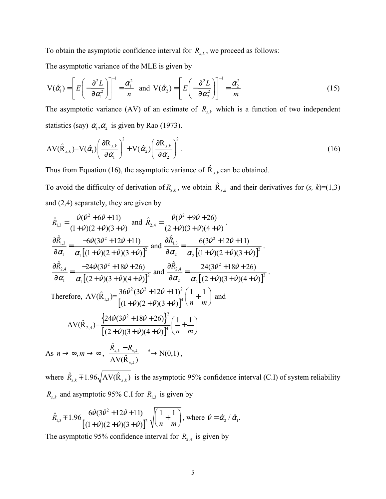To obtain the asymptotic confidence interval for  $R_{s,k}$ , we proceed as follows:

The asymptotic variance of the MLE is given by

$$
V(\hat{\alpha}_1) = \left[ E\left( -\frac{\partial^2 L}{\partial \alpha_1^2} \right) \right]^{-1} = \frac{\alpha_1^2}{n} \text{ and } V(\hat{\alpha}_2) = \left[ E\left( -\frac{\partial^2 L}{\partial \alpha_2^2} \right) \right]^{-1} = \frac{\alpha_2^2}{m}
$$
 (15)

The asymptotic variance (AV) of an estimate of  $R_{s,k}$  which is a function of two independent statistics (say)  $\alpha_1, \alpha_2$  is given by Rao (1973).

$$
AV(\hat{R}_{s,k})=V(\hat{\alpha}_1)\left(\frac{\partial R_{s,k}}{\partial \alpha_1}\right)^2+V(\hat{\alpha}_2)\left(\frac{\partial R_{s,k}}{\partial \alpha_2}\right)^2.
$$
\n(16)

Thus from Equation (16), the asymptotic variance of  $\hat{R}_{s,k}$  can be obtained.

To avoid the difficulty of derivation of  $R_{s,k}$ , we obtain  $\hat{R}_{s,k}$  and their derivatives for  $(s, k)=(1,3)$ and (2,4) separately, they are given by

$$
\hat{R}_{1,3} = \frac{\hat{V}(\hat{V}^2 + 6\hat{V} + 11)}{(1 + \hat{V})(2 + \hat{V})(3 + \hat{V})} \text{ and } \hat{R}_{2,4} = \frac{\hat{V}(\hat{V}^2 + 9\hat{V} + 26)}{(2 + \hat{V})(3 + \hat{V})(4 + \hat{V})}.
$$
\n
$$
\frac{\partial \hat{R}_{1,3}}{\partial \alpha_1} = \frac{-6\hat{V}(3\hat{V}^2 + 12\hat{V} + 11)}{\alpha_1[(1 + \hat{V})(2 + \hat{V})(3 + \hat{V})]^2} \text{ and } \frac{\partial \hat{R}_{1,3}}{\partial \alpha_2} = \frac{6(3\hat{V}^2 + 12\hat{V} + 11)}{\alpha_2[(1 + \hat{V})(2 + \hat{V})(3 + \hat{V})]^2}.
$$
\n
$$
\frac{\partial \hat{R}_{2,4}}{\partial \alpha_1} = \frac{-24\hat{V}(3\hat{V}^2 + 18\hat{V} + 26)}{\alpha_1[(2 + \hat{V})(3 + \hat{V})(4 + \hat{V})]^2} \text{ and } \frac{\partial \hat{R}_{2,4}}{\partial \alpha_2} = \frac{24(3\hat{V}^2 + 18\hat{V} + 26)}{\alpha_2[(2 + \hat{V})(3 + \hat{V})(4 + \hat{V})]^2}.
$$
\nTherefore, 
$$
AV(\hat{R}_{1,3}) = \frac{36\hat{V}^2(3\hat{V}^2 + 12\hat{V} + 11)^2}{[(1 + \hat{V})(2 + \hat{V})(3 + \hat{V})]^4} \left(\frac{1}{n} + \frac{1}{m}\right) \text{ and }
$$
\n
$$
AV(\hat{R}_{2,4}) = \frac{\left\{24\hat{V}(3\hat{V}^2 + 18\hat{V} + 26)\right\}^2}{\left[(2 + \hat{V})(3 + \hat{V})(4 + \hat{V})\right]^4} \left(\frac{1}{n} + \frac{1}{m}\right)
$$
\nAs  $n \to \infty, m \to \infty, \frac{\hat{R}_{s,k} - R_{s,k}}{AV(\hat{R}_{s,k})} \to N(0,1),$ 

where  $\hat{R}_{s,k}$   $\mp$ 1.96 $\sqrt{AV(\hat{R}_{s,k})}$  is the asymptotic 95% confidence interval (C.I) of system reliability

 $R_{s,k}$  and asymptotic 95% C.I for  $R_{1,3}$  is given by

$$
\hat{R}_{1,3} \mp 1.96 \frac{6\hat{v}(3\hat{v}^2 + 12\hat{v} + 11)}{[(1+\hat{v})(2+\hat{v})(3+\hat{v})]^2} \sqrt{\left(\frac{1}{n} + \frac{1}{m}\right)}, \text{ where } \hat{v} = \hat{\alpha}_2 / \hat{\alpha}_1.
$$

The asymptotic 95% confidence interval for  $R_{2,4}$  is given by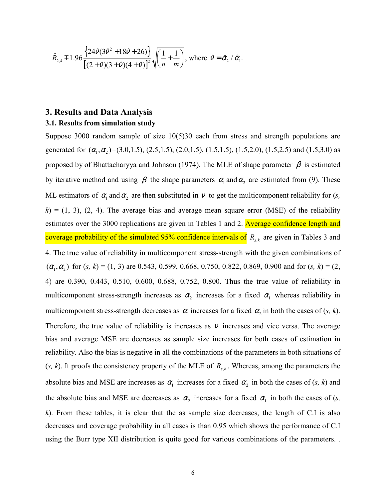$$
\hat{R}_{2,4} \mp 1.96 \frac{\left\{ 24 \hat{v} (3 \hat{v}^2 + 18 \hat{v} + 26) \right\}}{\left[ (2 + \hat{v})(3 + \hat{v})(4 + \hat{v}) \right]^2} \sqrt{\left( \frac{1}{n} + \frac{1}{m} \right)}, \text{ where } \hat{v} = \hat{\alpha}_2 / \hat{\alpha}_1.
$$

## **3. Results and Data Analysis**

#### **3.1. Results from simulation study**

Suppose 3000 random sample of size 10(5)30 each from stress and strength populations are generated for  $(\alpha_1, \alpha_2)$  =(3.0,1.5), (2.5,1.5), (2.0,1.5), (1.5,1.5), (1.5,2.0), (1.5,2.5) and (1.5,3.0) as proposed by of Bhattacharyya and Johnson (1974). The MLE of shape parameter  $\beta$  is estimated by iterative method and using  $\beta$  the shape parameters  $\alpha_1$  and  $\alpha_2$  are estimated from (9). These ML estimators of  $\alpha_1$  and  $\alpha_2$  are then substituted in  $\nu$  to get the multicomponent reliability for (*s*,  $k$ ) = (1, 3), (2, 4). The average bias and average mean square error (MSE) of the reliability estimates over the 3000 replications are given in Tables 1 and 2. **Average confidence length and** coverage probability of the simulated 95% confidence intervals of  $R_{s,k}$  are given in Tables 3 and 4. The true value of reliability in multicomponent stress-strength with the given combinations of  $(\alpha_1, \alpha_2)$  for  $(s, k) = (1, 3)$  are 0.543, 0.599, 0.668, 0.750, 0.822, 0.869, 0.900 and for  $(s, k) = (2, 1, 2)$ 4) are 0.390, 0.443, 0.510, 0.600, 0.688, 0.752, 0.800. Thus the true value of reliability in multicomponent stress-strength increases as  $\alpha_2$  increases for a fixed  $\alpha_1$  whereas reliability in multicomponent stress-strength decreases as  $\alpha_1$  increases for a fixed  $\alpha_2$  in both the cases of (*s*, *k*). Therefore, the true value of reliability is increases as  $\nu$  increases and vice versa. The average bias and average MSE are decreases as sample size increases for both cases of estimation in reliability. Also the bias is negative in all the combinations of the parameters in both situations of  $(s, k)$ . It proofs the consistency property of the MLE of  $R_{s,k}$ . Whereas, among the parameters the absolute bias and MSE are increases as  $\alpha_1$  increases for a fixed  $\alpha_2$  in both the cases of (*s*, *k*) and the absolute bias and MSE are decreases as  $\alpha_2$  increases for a fixed  $\alpha_1$  in both the cases of (*s*, *k*). From these tables, it is clear that the as sample size decreases, the length of C.I is also decreases and coverage probability in all cases is than 0.95 which shows the performance of C.I using the Burr type XII distribution is quite good for various combinations of the parameters. .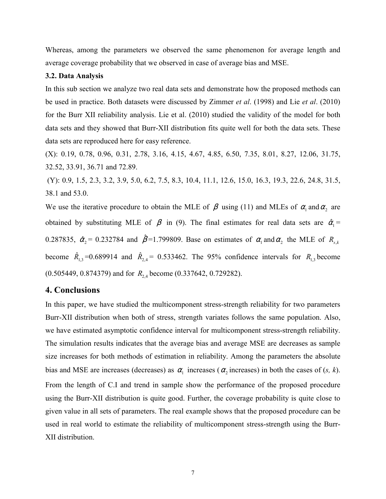Whereas, among the parameters we observed the same phenomenon for average length and average coverage probability that we observed in case of average bias and MSE.

#### **3.2. Data Analysis**

In this sub section we analyze two real data sets and demonstrate how the proposed methods can be used in practice. Both datasets were discussed by Zimmer *et al*. (1998) and Lie *et al*. (2010) for the Burr XII reliability analysis. Lie et al. (2010) studied the validity of the model for both data sets and they showed that Burr-XII distribution fits quite well for both the data sets. These data sets are reproduced here for easy reference.

(X): 0.19, 0.78, 0.96, 0.31, 2.78, 3.16, 4.15, 4.67, 4.85, 6.50, 7.35, 8.01, 8.27, 12.06, 31.75, 32.52, 33.91, 36.71 and 72.89.

 (Y): 0.9, 1.5, 2.3, 3.2, 3.9, 5.0, 6.2, 7.5, 8.3, 10.4, 11.1, 12.6, 15.0, 16.3, 19.3, 22.6, 24.8, 31.5, 38.1 and 53.0.

We use the iterative procedure to obtain the MLE of  $\beta$  using (11) and MLEs of  $\alpha_1$  and  $\alpha_2$  are obtained by substituting MLE of  $\beta$  in (9). The final estimates for real data sets are  $\hat{\alpha}_1 =$ 0.287835,  $\hat{\alpha}_2 = 0.232784$  and  $\hat{\beta} = 1.799809$ . Base on estimates of  $\alpha_1$  and  $\alpha_2$  the MLE of  $R_{s,k}$ become  $\hat{R}_{1,3} = 0.689914$  and  $\hat{R}_{2,4} = 0.533462$ . The 95% confidence intervals for  $R_{1,3}$  become (0.505449, 0.874379) and for *R*<sub>24</sub> become (0.337642, 0.729282).

#### **4. Conclusions**

In this paper, we have studied the multicomponent stress-strength reliability for two parameters Burr-XII distribution when both of stress, strength variates follows the same population. Also, we have estimated asymptotic confidence interval for multicomponent stress-strength reliability. The simulation results indicates that the average bias and average MSE are decreases as sample size increases for both methods of estimation in reliability. Among the parameters the absolute bias and MSE are increases (decreases) as  $\alpha_1$  increases ( $\alpha_2$  increases) in both the cases of (*s, k*). From the length of C.I and trend in sample show the performance of the proposed procedure using the Burr-XII distribution is quite good. Further, the coverage probability is quite close to given value in all sets of parameters. The real example shows that the proposed procedure can be used in real world to estimate the reliability of multicomponent stress-strength using the Burr-XII distribution.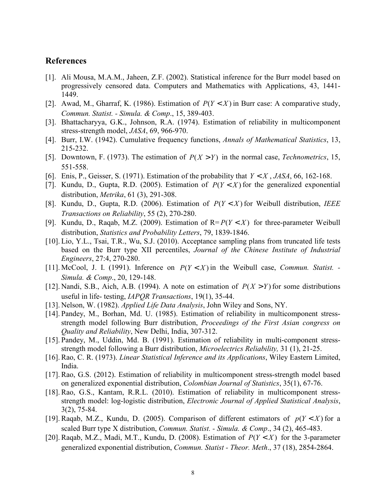#### **References**

- [1]. Ali Mousa, M.A.M., Jaheen, Z.F. (2002). Statistical inference for the Burr model based on progressively censored data. Computers and Mathematics with Applications, 43, 1441- 1449.
- [2]. Awad, M., Gharraf, K. (1986). Estimation of  $P(Y < X)$  in Burr case: A comparative study, *Commun. Statist. - Simula. & Comp*., 15, 389-403.
- [3]. Bhattacharyya, G.K., Johnson, R.A. (1974). Estimation of reliability in multicomponent stress-strength model, *JASA*, 69, 966-970.
- [4]. Burr, I.W. (1942). Cumulative frequency functions, *Annals of Mathematical Statistics*, 13, 215-232.
- [5]. Downtown, F. (1973). The estimation of  $P(X > Y)$  in the normal case, *Technometrics*, 15, 551-558.
- [6]. Enis, P., Geisser, S. (1971). Estimation of the probability that  $Y \leq X$ , *JASA*, 66, 162-168.
- [7]. Kundu, D., Gupta, R.D. (2005). Estimation of  $P(Y < X)$  for the generalized exponential distribution, *Metrika*, 61 (3), 291-308.
- [8]. Kundu, D., Gupta, R.D. (2006). Estimation of  $P(Y < X)$  for Weibull distribution, *IEEE Transactions on Reliability*, 55 (2), 270-280.
- [9]. Kundu, D., Raqab, M.Z. (2009). Estimation of  $R = P(Y < X)$  for three-parameter Weibull distribution, *Statistics and Probability Letters*, 79, 1839-1846.
- [10]. Lio, Y.L., Tsai, T.R., Wu, S.J. (2010). Acceptance sampling plans from truncated life tests based on the Burr type XII percentiles, *Journal of the Chinese Institute of Industrial Engineers*, 27:4, 270-280.
- [11]. McCool, J. I. (1991). Inference on  $P(Y < X)$  in the Weibull case, *Commun. Statist.* -*Simula. & Comp*., 20, 129-148.
- [12]. Nandi, S.B., Aich, A.B. (1994). A note on estimation of  $P(X > Y)$  for some distributions useful in life- testing, *IAPQR Transactions*, 19(1), 35-44.
- [13]. Nelson, W. (1982). *Applied Life Data Analysis*, John Wiley and Sons, NY.
- [14]. Pandey, M., Borhan, Md. U. (1985). Estimation of reliability in multicomponent stressstrength model following Burr distribution, *Proceedings of the First Asian congress on Quality and Reliability*, New Delhi, India, 307-312.
- [15]. Pandey, M., Uddin, Md. B. (1991). Estimation of reliability in multi-component stressstrength model following a Burr distribution, *Microelectrics Reliability,* 31 (1), 21-25.
- [16]. Rao, C. R. (1973). *Linear Statistical Inference and its Applications*, Wiley Eastern Limited, India.
- [17]. Rao, G.S. (2012). Estimation of reliability in multicomponent stress-strength model based on generalized exponential distribution, *Colombian Journal of Statistics*, 35(1), 67-76.
- [18]. Rao, G.S., Kantam, R.R.L. (2010). Estimation of reliability in multicomponent stressstrength model: log-logistic distribution, *Electronic Journal of Applied Statistical Analysis*, 3(2), 75-84.
- [19]. Raqab, M.Z., Kundu, D. (2005). Comparison of different estimators of  $p(Y < X)$  for a scaled Burr type X distribution, *Commun. Statist. - Simula. & Comp*., 34 (2), 465-483.
- [20]. Raqab, M.Z., Madi, M.T., Kundu, D. (2008). Estimation of  $P(Y < X)$  for the 3-parameter generalized exponential distribution, *Commun. Statist - Theor. Meth*., 37 (18), 2854-2864.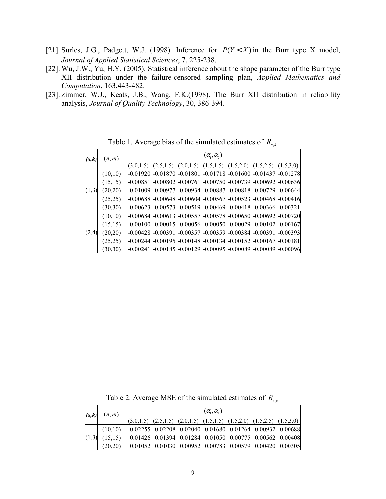- [21]. Surles, J.G., Padgett, W.J. (1998). Inference for  $P(Y < X)$  in the Burr type X model, *Journal of Applied Statistical Sciences*, 7, 225-238.
- [22]. Wu, J.W., Yu, H.Y. (2005). Statistical inference about the shape parameter of the Burr type XII distribution under the failure-censored sampling plan, *Applied Mathematics and Computation*, 163,443-482.
- [23]. Zimmer, W.J., Keats, J.B., Wang, F.K.(1998). The Burr XII distribution in reliability analysis, *Journal of Quality Technology*, 30, 386-394.

| (s,k) | (n,m)    | $(\alpha_{1},\alpha_{2})$                                                           |  |  |  |  |  |  |  |
|-------|----------|-------------------------------------------------------------------------------------|--|--|--|--|--|--|--|
|       |          | $(3.0,1.5)$ $(2.5,1.5)$ $(2.0,1.5)$ $(1.5,1.5)$ $(1.5,2.0)$ $(1.5,2.5)$ $(1.5,3.0)$ |  |  |  |  |  |  |  |
|       | (10,10)  | $-0.01920 -0.01870 -0.01801 -0.01718 -0.01600 -0.01437 -0.01278$                    |  |  |  |  |  |  |  |
|       | (15,15)  | $-0.00851 - 0.00802 - 0.00761 - 0.00750 - 0.00739 - 0.00692 - 0.00636$              |  |  |  |  |  |  |  |
| (1,3) | (20,20)  | $-0.01009 - 0.00977 - 0.00934 - 0.00887 - 0.00818 - 0.00729 - 0.00644$              |  |  |  |  |  |  |  |
|       | (25,25)  | $-0.00688 - 0.00648 - 0.00604 - 0.00567 - 0.00523 - 0.00468 - 0.00416$              |  |  |  |  |  |  |  |
|       | (30,30)  | $-0.00623 - 0.00573 - 0.00519 - 0.00469 - 0.00418 - 0.00366 - 0.00321$              |  |  |  |  |  |  |  |
| (2,4) | (10,10)  | $-0.00684 - 0.00613 - 0.00557 - 0.00578 - 0.00650 - 0.00692 - 0.00720$              |  |  |  |  |  |  |  |
|       | (15,15)  | $-0.00100 - 0.00015$ 0.00056 0.00050 $-0.00029 - 0.00102 - 0.00167$                 |  |  |  |  |  |  |  |
|       | (20,20)  | $-0.00428 - 0.00391 - 0.00357 - 0.00359 - 0.00384 - 0.00391 - 0.00393$              |  |  |  |  |  |  |  |
|       | (25,25)  | $-0.00244$ $-0.00195$ $-0.00148$ $-0.00134$ $-0.00152$ $-0.00167$ $-0.00181$        |  |  |  |  |  |  |  |
|       | (30, 30) | $-0.00241 - 0.00185 - 0.00129 - 0.00095 - 0.00089 - 0.00089 - 0.00096$              |  |  |  |  |  |  |  |

Table 1. Average bias of the simulated estimates of  $R_{s,k}$ 

Table 2. Average MSE of the simulated estimates of  $R_{s,k}$ 

| (s,k) | (n,m)                                                                                     | $(\alpha, \alpha)$                                      |  |  |                                                                                     |  |  |  |  |
|-------|-------------------------------------------------------------------------------------------|---------------------------------------------------------|--|--|-------------------------------------------------------------------------------------|--|--|--|--|
|       |                                                                                           |                                                         |  |  | $(3.0,1.5)$ $(2.5,1.5)$ $(2.0,1.5)$ $(1.5,1.5)$ $(1.5,2.0)$ $(1.5,2.5)$ $(1.5,3.0)$ |  |  |  |  |
|       | $(10,10)$   0.02255 0.02208 0.02040 0.01680 0.01264 0.00932 0.00688                       |                                                         |  |  |                                                                                     |  |  |  |  |
|       | $(1,3)$ $(15,15)$ $(0.01426 \t0.01394 \t0.01284 \t0.01050 \t0.00775 \t0.00562 \t0.00408)$ |                                                         |  |  |                                                                                     |  |  |  |  |
|       | (20.20)                                                                                   | 0.01052 0.01030 0.00952 0.00783 0.00579 0.00420 0.00305 |  |  |                                                                                     |  |  |  |  |